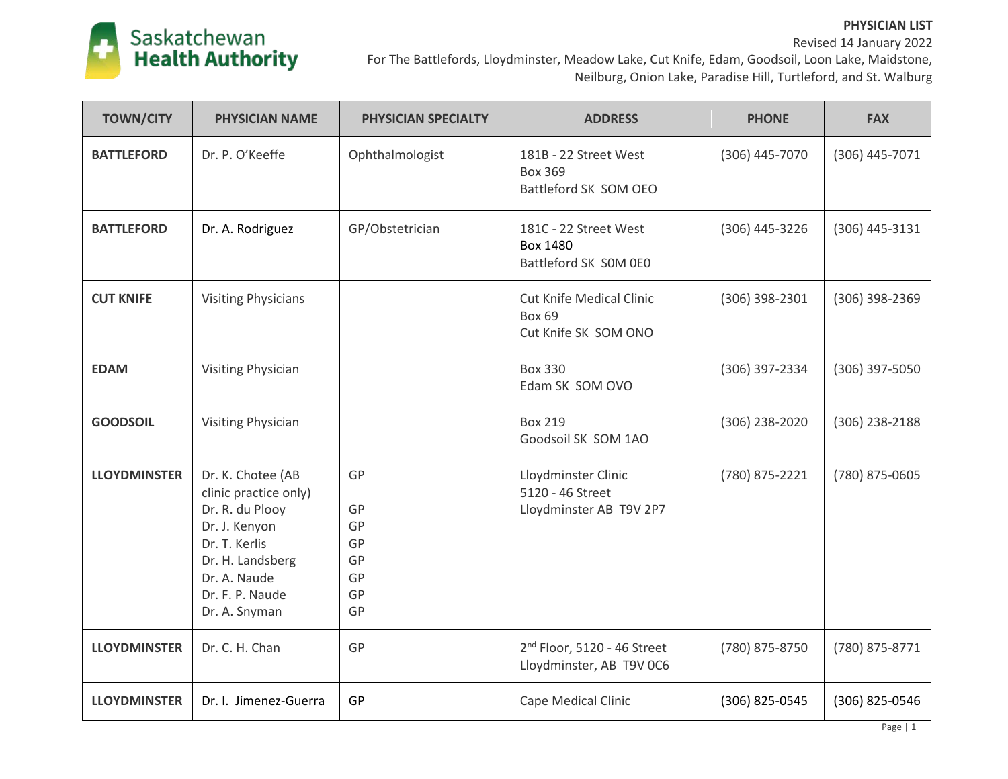

| <b>TOWN/CITY</b>    | <b>PHYSICIAN NAME</b>                                                                                                                                                   | PHYSICIAN SPECIALTY                          | <b>ADDRESS</b>                                                           | <b>PHONE</b>   | <b>FAX</b>     |
|---------------------|-------------------------------------------------------------------------------------------------------------------------------------------------------------------------|----------------------------------------------|--------------------------------------------------------------------------|----------------|----------------|
| <b>BATTLEFORD</b>   | Dr. P. O'Keeffe                                                                                                                                                         | Ophthalmologist                              | 181B - 22 Street West<br><b>Box 369</b><br>Battleford SK SOM OEO         | (306) 445-7070 | (306) 445-7071 |
| <b>BATTLEFORD</b>   | Dr. A. Rodriguez                                                                                                                                                        | GP/Obstetrician                              | 181C - 22 Street West<br>Box 1480<br>Battleford SK SOM OEO               | (306) 445-3226 | (306) 445-3131 |
| <b>CUT KNIFE</b>    | <b>Visiting Physicians</b>                                                                                                                                              |                                              | <b>Cut Knife Medical Clinic</b><br><b>Box 69</b><br>Cut Knife SK SOM ONO | (306) 398-2301 | (306) 398-2369 |
| <b>EDAM</b>         | <b>Visiting Physician</b>                                                                                                                                               |                                              | <b>Box 330</b><br>Edam SK SOM OVO                                        | (306) 397-2334 | (306) 397-5050 |
| <b>GOODSOIL</b>     | <b>Visiting Physician</b>                                                                                                                                               |                                              | <b>Box 219</b><br>Goodsoil SK SOM 1AO                                    | (306) 238-2020 | (306) 238-2188 |
| <b>LLOYDMINSTER</b> | Dr. K. Chotee (AB<br>clinic practice only)<br>Dr. R. du Plooy<br>Dr. J. Kenyon<br>Dr. T. Kerlis<br>Dr. H. Landsberg<br>Dr. A. Naude<br>Dr. F. P. Naude<br>Dr. A. Snyman | GP<br>GP<br>GP<br>GP<br>GP<br>GP<br>GP<br>GP | Lloydminster Clinic<br>5120 - 46 Street<br>Lloydminster AB T9V 2P7       | (780) 875-2221 | (780) 875-0605 |
| <b>LLOYDMINSTER</b> | Dr. C. H. Chan                                                                                                                                                          | GP                                           | 2 <sup>nd</sup> Floor, 5120 - 46 Street<br>Lloydminster, AB T9V 0C6      | (780) 875-8750 | (780) 875-8771 |
| <b>LLOYDMINSTER</b> | Dr. I. Jimenez-Guerra                                                                                                                                                   | GP                                           | <b>Cape Medical Clinic</b>                                               | (306) 825-0545 | (306) 825-0546 |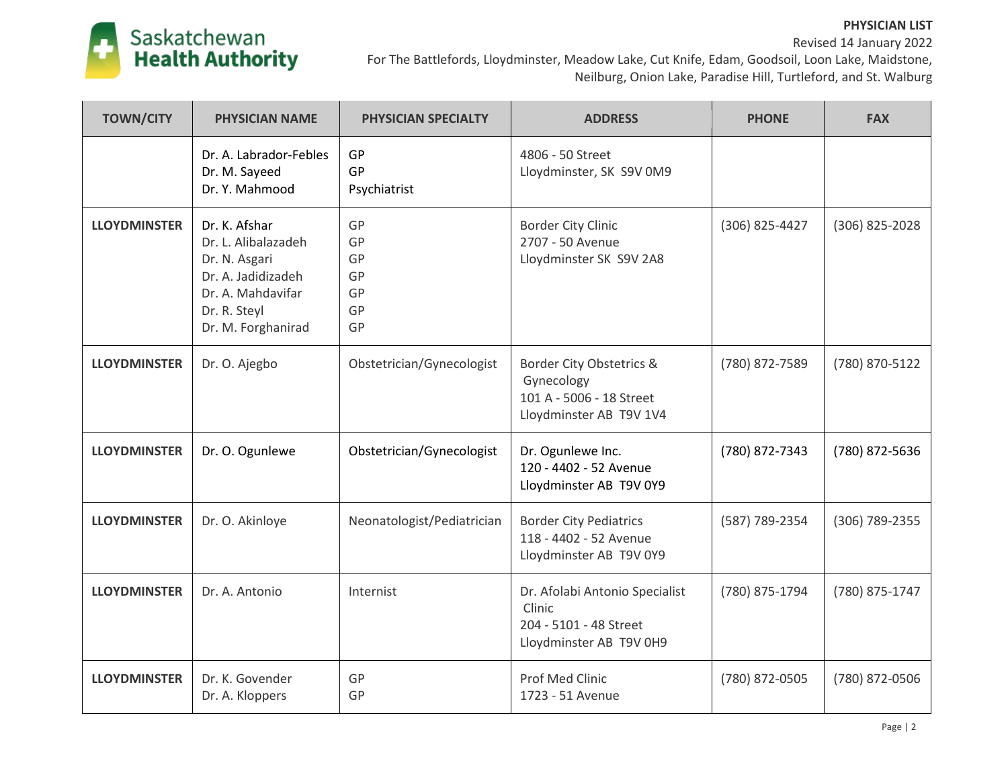

| <b>TOWN/CITY</b>    | <b>PHYSICIAN NAME</b>                                                                                                                  | <b>PHYSICIAN SPECIALTY</b>             | <b>ADDRESS</b>                                                                                | <b>PHONE</b>   | <b>FAX</b>     |
|---------------------|----------------------------------------------------------------------------------------------------------------------------------------|----------------------------------------|-----------------------------------------------------------------------------------------------|----------------|----------------|
|                     | Dr. A. Labrador-Febles<br>Dr. M. Sayeed<br>Dr. Y. Mahmood                                                                              | GP<br><b>GP</b><br>Psychiatrist        | 4806 - 50 Street<br>Lloydminster, SK S9V 0M9                                                  |                |                |
| <b>LLOYDMINSTER</b> | Dr. K. Afshar<br>Dr. L. Alibalazadeh<br>Dr. N. Asgari<br>Dr. A. Jadidizadeh<br>Dr. A. Mahdavifar<br>Dr. R. Steyl<br>Dr. M. Forghanirad | GP<br>GP<br>GP<br>GP<br>GP<br>GP<br>GP | <b>Border City Clinic</b><br>2707 - 50 Avenue<br>Lloydminster SK S9V 2A8                      | (306) 825-4427 | (306) 825-2028 |
| <b>LLOYDMINSTER</b> | Dr. O. Ajegbo                                                                                                                          | Obstetrician/Gynecologist              | Border City Obstetrics &<br>Gynecology<br>101 A - 5006 - 18 Street<br>Lloydminster AB T9V 1V4 | (780) 872-7589 | (780) 870-5122 |
| <b>LLOYDMINSTER</b> | Dr. O. Ogunlewe                                                                                                                        | Obstetrician/Gynecologist              | Dr. Ogunlewe Inc.<br>120 - 4402 - 52 Avenue<br>Lloydminster AB T9V 0Y9                        | (780) 872-7343 | (780) 872-5636 |
| <b>LLOYDMINSTER</b> | Dr. O. Akinloye                                                                                                                        | Neonatologist/Pediatrician             | <b>Border City Pediatrics</b><br>118 - 4402 - 52 Avenue<br>Lloydminster AB T9V 0Y9            | (587) 789-2354 | (306) 789-2355 |
| <b>LLOYDMINSTER</b> | Dr. A. Antonio                                                                                                                         | Internist                              | Dr. Afolabi Antonio Specialist<br>Clinic<br>204 - 5101 - 48 Street<br>Lloydminster AB T9V 0H9 | (780) 875-1794 | (780) 875-1747 |
| <b>LLOYDMINSTER</b> | Dr. K. Govender<br>Dr. A. Kloppers                                                                                                     | GP<br>GP                               | Prof Med Clinic<br>1723 - 51 Avenue                                                           | (780) 872-0505 | (780) 872-0506 |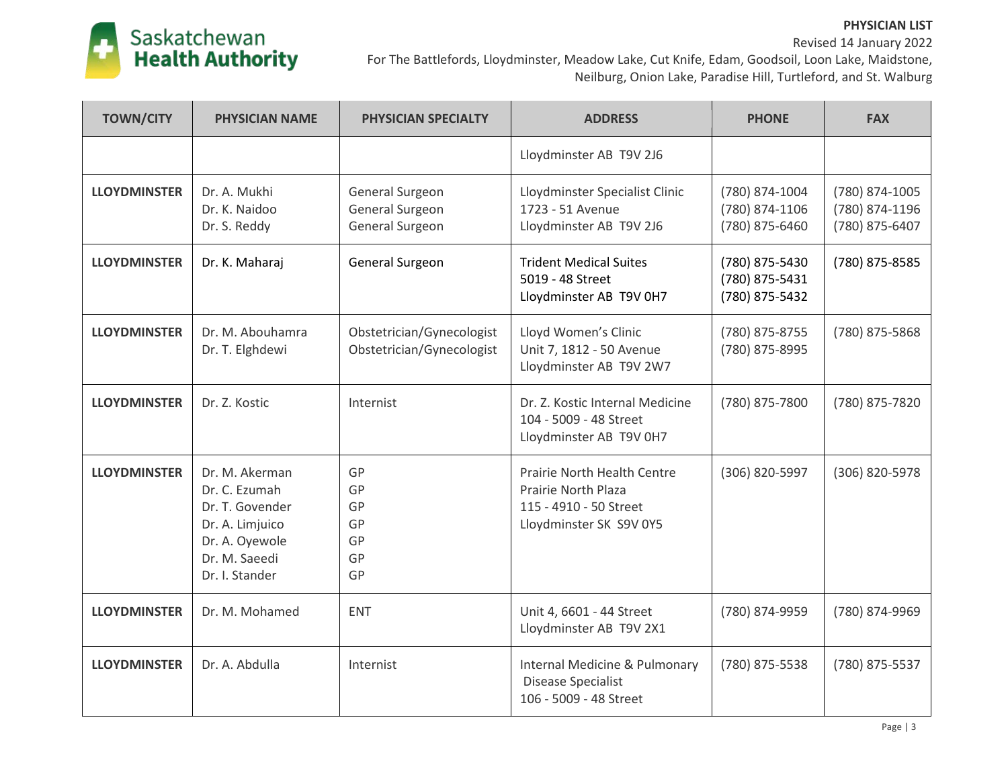#### **PHYSICIAN LIST** Revised 14 January 2022



| <b>TOWN/CITY</b>    | <b>PHYSICIAN NAME</b>                                                                                                      | PHYSICIAN SPECIALTY                                    | <b>ADDRESS</b>                                                                                                 | <b>PHONE</b>                                       | <b>FAX</b>                                         |
|---------------------|----------------------------------------------------------------------------------------------------------------------------|--------------------------------------------------------|----------------------------------------------------------------------------------------------------------------|----------------------------------------------------|----------------------------------------------------|
|                     |                                                                                                                            |                                                        | Lloydminster AB T9V 2J6                                                                                        |                                                    |                                                    |
| <b>LLOYDMINSTER</b> | Dr. A. Mukhi<br>Dr. K. Naidoo<br>Dr. S. Reddy                                                                              | General Surgeon<br>General Surgeon<br>General Surgeon  | Lloydminster Specialist Clinic<br>1723 - 51 Avenue<br>Lloydminster AB T9V 2J6                                  | (780) 874-1004<br>(780) 874-1106<br>(780) 875-6460 | (780) 874-1005<br>(780) 874-1196<br>(780) 875-6407 |
| <b>LLOYDMINSTER</b> | Dr. K. Maharaj                                                                                                             | General Surgeon                                        | <b>Trident Medical Suites</b><br>5019 - 48 Street<br>Lloydminster AB T9V 0H7                                   | (780) 875-5430<br>(780) 875-5431<br>(780) 875-5432 | (780) 875-8585                                     |
| <b>LLOYDMINSTER</b> | Dr. M. Abouhamra<br>Dr. T. Elghdewi                                                                                        | Obstetrician/Gynecologist<br>Obstetrician/Gynecologist | Lloyd Women's Clinic<br>Unit 7, 1812 - 50 Avenue<br>Lloydminster AB T9V 2W7                                    | (780) 875-8755<br>(780) 875-8995                   | (780) 875-5868                                     |
| <b>LLOYDMINSTER</b> | Dr. Z. Kostic                                                                                                              | Internist                                              | Dr. Z. Kostic Internal Medicine<br>104 - 5009 - 48 Street<br>Lloydminster AB T9V 0H7                           | (780) 875-7800                                     | (780) 875-7820                                     |
| <b>LLOYDMINSTER</b> | Dr. M. Akerman<br>Dr. C. Ezumah<br>Dr. T. Govender<br>Dr. A. Limjuico<br>Dr. A. Oyewole<br>Dr. M. Saeedi<br>Dr. I. Stander | GP<br>GP<br>GP<br>GP<br>GP<br>GP<br>GP                 | Prairie North Health Centre<br><b>Prairie North Plaza</b><br>115 - 4910 - 50 Street<br>Lloydminster SK S9V 0Y5 | (306) 820-5997                                     | (306) 820-5978                                     |
| <b>LLOYDMINSTER</b> | Dr. M. Mohamed                                                                                                             | <b>ENT</b>                                             | Unit 4, 6601 - 44 Street<br>Lloydminster AB T9V 2X1                                                            | (780) 874-9959                                     | (780) 874-9969                                     |
| <b>LLOYDMINSTER</b> | Dr. A. Abdulla                                                                                                             | Internist                                              | Internal Medicine & Pulmonary<br><b>Disease Specialist</b><br>106 - 5009 - 48 Street                           | (780) 875-5538                                     | (780) 875-5537                                     |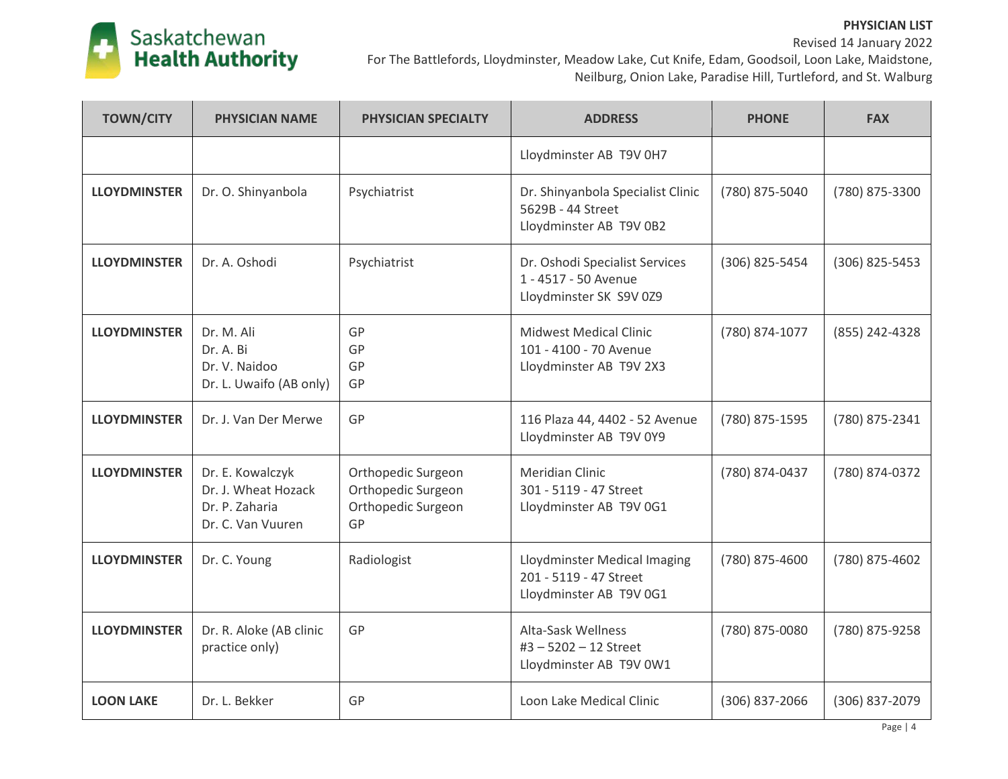

| <b>TOWN/CITY</b>    | <b>PHYSICIAN NAME</b>                                                          | <b>PHYSICIAN SPECIALTY</b>                                           | <b>ADDRESS</b>                                                                     | <b>PHONE</b>     | <b>FAX</b>     |
|---------------------|--------------------------------------------------------------------------------|----------------------------------------------------------------------|------------------------------------------------------------------------------------|------------------|----------------|
|                     |                                                                                |                                                                      | Lloydminster AB T9V 0H7                                                            |                  |                |
| <b>LLOYDMINSTER</b> | Dr. O. Shinyanbola                                                             | Psychiatrist                                                         | Dr. Shinyanbola Specialist Clinic<br>5629B - 44 Street<br>Lloydminster AB T9V 0B2  | (780) 875-5040   | (780) 875-3300 |
| <b>LLOYDMINSTER</b> | Dr. A. Oshodi                                                                  | Psychiatrist                                                         | Dr. Oshodi Specialist Services<br>1 - 4517 - 50 Avenue<br>Lloydminster SK S9V 0Z9  | (306) 825-5454   | (306) 825-5453 |
| <b>LLOYDMINSTER</b> | Dr. M. Ali<br>Dr. A. Bi<br>Dr. V. Naidoo<br>Dr. L. Uwaifo (AB only)            | GP<br>GP<br>GP<br>GP                                                 | <b>Midwest Medical Clinic</b><br>101 - 4100 - 70 Avenue<br>Lloydminster AB T9V 2X3 | (780) 874-1077   | (855) 242-4328 |
| <b>LLOYDMINSTER</b> | Dr. J. Van Der Merwe                                                           | GP                                                                   | 116 Plaza 44, 4402 - 52 Avenue<br>Lloydminster AB T9V 0Y9                          | (780) 875-1595   | (780) 875-2341 |
| <b>LLOYDMINSTER</b> | Dr. E. Kowalczyk<br>Dr. J. Wheat Hozack<br>Dr. P. Zaharia<br>Dr. C. Van Vuuren | Orthopedic Surgeon<br>Orthopedic Surgeon<br>Orthopedic Surgeon<br>GP | <b>Meridian Clinic</b><br>301 - 5119 - 47 Street<br>Lloydminster AB T9V 0G1        | (780) 874-0437   | (780) 874-0372 |
| <b>LLOYDMINSTER</b> | Dr. C. Young                                                                   | Radiologist                                                          | Lloydminster Medical Imaging<br>201 - 5119 - 47 Street<br>Lloydminster AB T9V 0G1  | (780) 875-4600   | (780) 875-4602 |
| <b>LLOYDMINSTER</b> | Dr. R. Aloke (AB clinic<br>practice only)                                      | GP                                                                   | Alta-Sask Wellness<br>#3-5202-12 Street<br>Lloydminster AB T9V 0W1                 | (780) 875-0080   | (780) 875-9258 |
| <b>LOON LAKE</b>    | Dr. L. Bekker                                                                  | GP                                                                   | Loon Lake Medical Clinic                                                           | $(306)$ 837-2066 | (306) 837-2079 |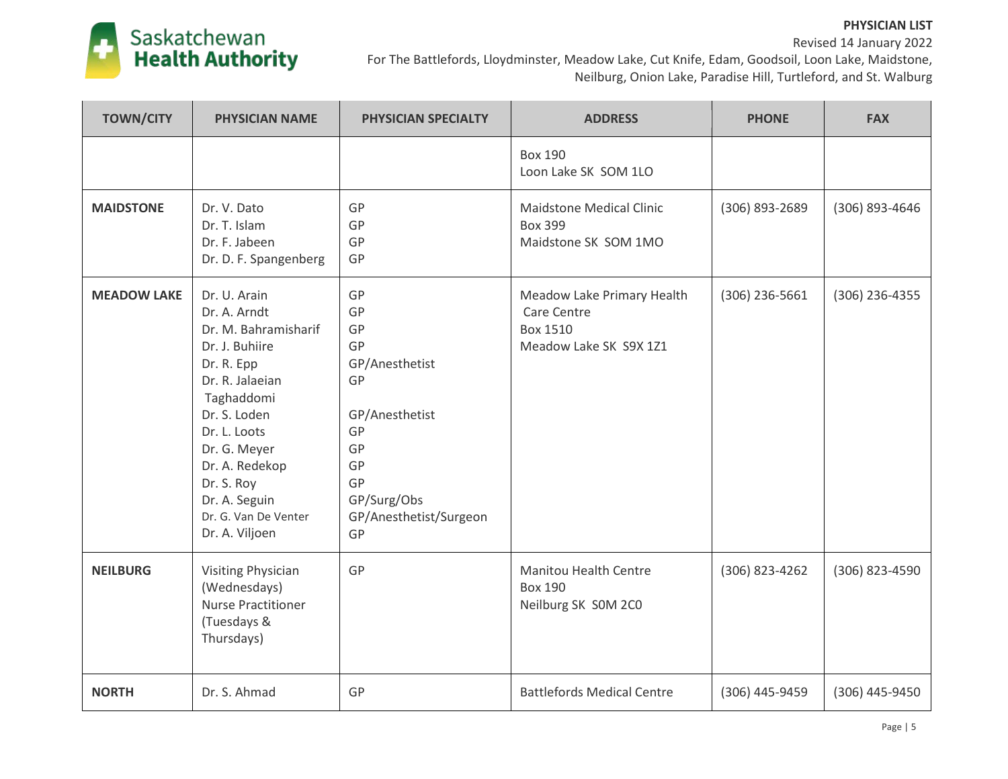#### **PHYSICIAN LIST** Revised 14 January 2022



| <b>TOWN/CITY</b>   | <b>PHYSICIAN NAME</b>                                                                                                                                                                                                                                            | <b>PHYSICIAN SPECIALTY</b>                                                                                                            | <b>ADDRESS</b>                                                                         | <b>PHONE</b>   | <b>FAX</b>       |
|--------------------|------------------------------------------------------------------------------------------------------------------------------------------------------------------------------------------------------------------------------------------------------------------|---------------------------------------------------------------------------------------------------------------------------------------|----------------------------------------------------------------------------------------|----------------|------------------|
|                    |                                                                                                                                                                                                                                                                  |                                                                                                                                       | <b>Box 190</b><br>Loon Lake SK SOM 1LO                                                 |                |                  |
| <b>MAIDSTONE</b>   | Dr. V. Dato<br>Dr. T. Islam<br>Dr. F. Jabeen<br>Dr. D. F. Spangenberg                                                                                                                                                                                            | GP<br>GP<br>GP<br>GP                                                                                                                  | <b>Maidstone Medical Clinic</b><br><b>Box 399</b><br>Maidstone SK SOM 1MO              | (306) 893-2689 | (306) 893-4646   |
| <b>MEADOW LAKE</b> | Dr. U. Arain<br>Dr. A. Arndt<br>Dr. M. Bahramisharif<br>Dr. J. Buhiire<br>Dr. R. Epp<br>Dr. R. Jalaeian<br>Taghaddomi<br>Dr. S. Loden<br>Dr. L. Loots<br>Dr. G. Meyer<br>Dr. A. Redekop<br>Dr. S. Roy<br>Dr. A. Seguin<br>Dr. G. Van De Venter<br>Dr. A. Viljoen | GP<br>GP<br>GP<br>GP<br>GP/Anesthetist<br>GP<br>GP/Anesthetist<br>GP<br>GP<br>GP<br>GP<br>GP/Surg/Obs<br>GP/Anesthetist/Surgeon<br>GP | Meadow Lake Primary Health<br>Care Centre<br><b>Box 1510</b><br>Meadow Lake SK S9X 1Z1 | (306) 236-5661 | $(306)$ 236-4355 |
| <b>NEILBURG</b>    | <b>Visiting Physician</b><br>(Wednesdays)<br><b>Nurse Practitioner</b><br>(Tuesdays &<br>Thursdays)                                                                                                                                                              | GP                                                                                                                                    | <b>Manitou Health Centre</b><br><b>Box 190</b><br>Neilburg SK SOM 2CO                  | (306) 823-4262 | (306) 823-4590   |
| <b>NORTH</b>       | Dr. S. Ahmad                                                                                                                                                                                                                                                     | GP                                                                                                                                    | <b>Battlefords Medical Centre</b>                                                      | (306) 445-9459 | (306) 445-9450   |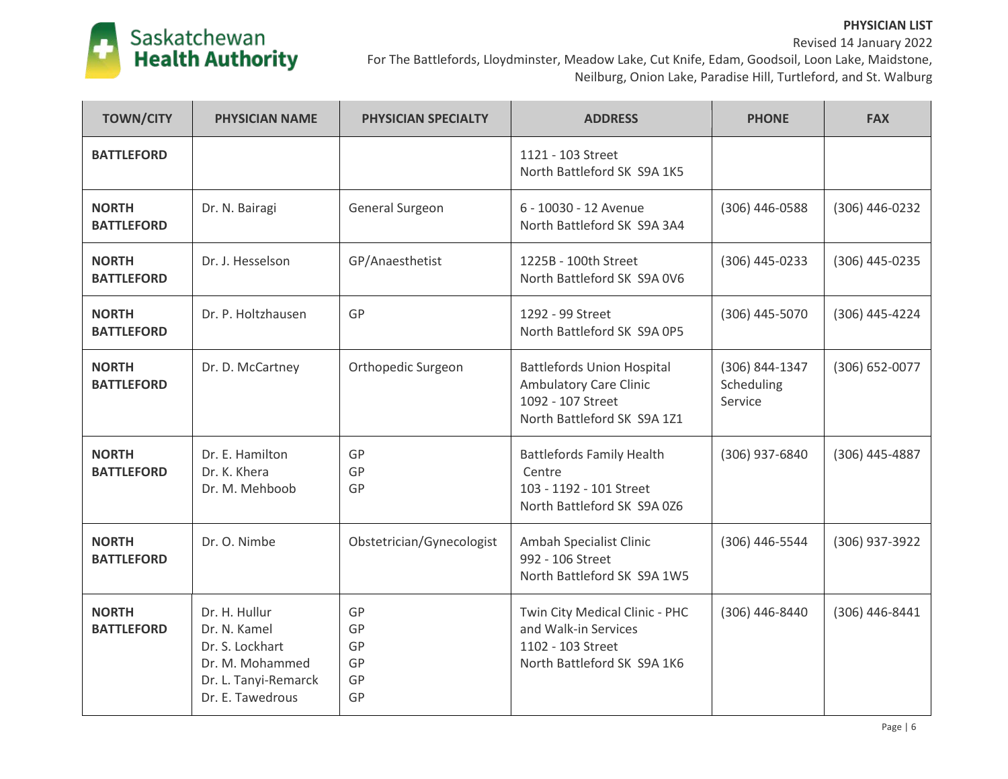

| <b>TOWN/CITY</b>                  | <b>PHYSICIAN NAME</b>                                                                                           | <b>PHYSICIAN SPECIALTY</b>       | <b>ADDRESS</b>                                                                                                         | <b>PHONE</b>                            | <b>FAX</b>       |
|-----------------------------------|-----------------------------------------------------------------------------------------------------------------|----------------------------------|------------------------------------------------------------------------------------------------------------------------|-----------------------------------------|------------------|
| <b>BATTLEFORD</b>                 |                                                                                                                 |                                  | 1121 - 103 Street<br>North Battleford SK S9A 1K5                                                                       |                                         |                  |
| <b>NORTH</b><br><b>BATTLEFORD</b> | Dr. N. Bairagi                                                                                                  | General Surgeon                  | 6 - 10030 - 12 Avenue<br>North Battleford SK S9A 3A4                                                                   | (306) 446-0588                          | (306) 446-0232   |
| <b>NORTH</b><br><b>BATTLEFORD</b> | Dr. J. Hesselson                                                                                                | GP/Anaesthetist                  | 1225B - 100th Street<br>North Battleford SK S9A 0V6                                                                    | (306) 445-0233                          | (306) 445-0235   |
| <b>NORTH</b><br><b>BATTLEFORD</b> | Dr. P. Holtzhausen                                                                                              | GP                               | 1292 - 99 Street<br>North Battleford SK S9A 0P5                                                                        | (306) 445-5070                          | (306) 445-4224   |
| <b>NORTH</b><br><b>BATTLEFORD</b> | Dr. D. McCartney                                                                                                | Orthopedic Surgeon               | <b>Battlefords Union Hospital</b><br><b>Ambulatory Care Clinic</b><br>1092 - 107 Street<br>North Battleford SK S9A 1Z1 | (306) 844-1347<br>Scheduling<br>Service | (306) 652-0077   |
| <b>NORTH</b><br><b>BATTLEFORD</b> | Dr. E. Hamilton<br>Dr. K. Khera<br>Dr. M. Mehboob                                                               | GP<br>GP<br>GP                   | <b>Battlefords Family Health</b><br>Centre<br>103 - 1192 - 101 Street<br>North Battleford SK S9A 0Z6                   | (306) 937-6840                          | (306) 445-4887   |
| <b>NORTH</b><br><b>BATTLEFORD</b> | Dr. O. Nimbe                                                                                                    | Obstetrician/Gynecologist        | Ambah Specialist Clinic<br>992 - 106 Street<br>North Battleford SK S9A 1W5                                             | (306) 446-5544                          | (306) 937-3922   |
| <b>NORTH</b><br><b>BATTLEFORD</b> | Dr. H. Hullur<br>Dr. N. Kamel<br>Dr. S. Lockhart<br>Dr. M. Mohammed<br>Dr. L. Tanyi-Remarck<br>Dr. E. Tawedrous | GP<br>GP<br>GP<br>GP<br>GP<br>GP | Twin City Medical Clinic - PHC<br>and Walk-in Services<br>1102 - 103 Street<br>North Battleford SK S9A 1K6             | (306) 446-8440                          | $(306)$ 446-8441 |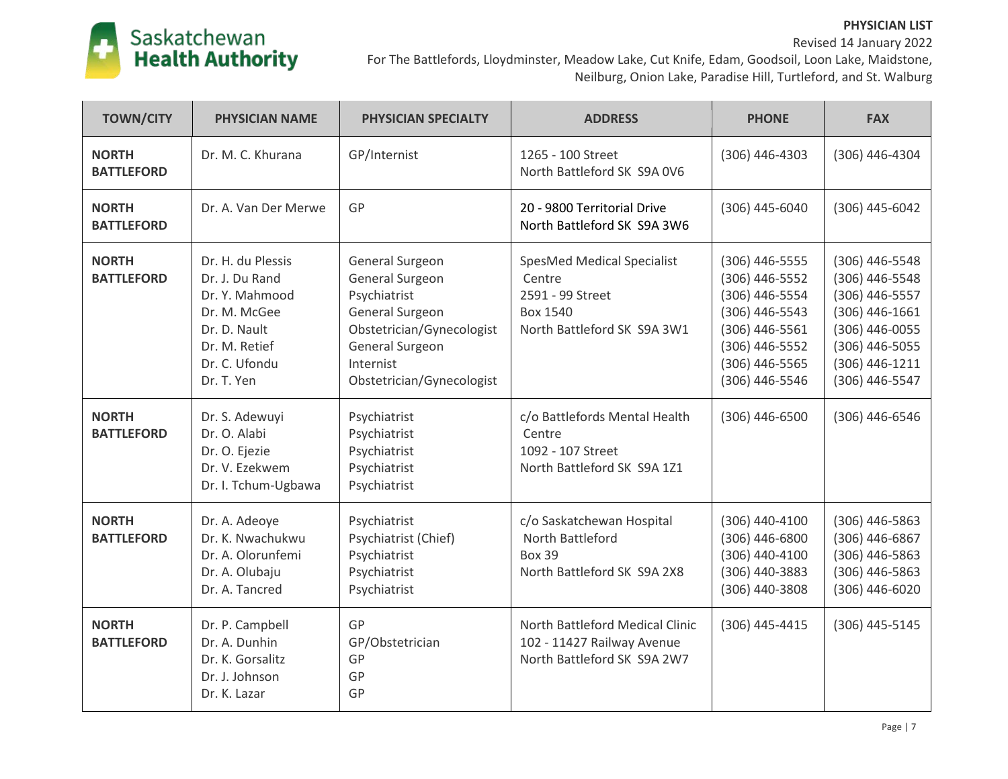# Saskatchewan<br>**Health Authority**

## Revised 14 January 2022 For The Battlefords, Lloydminster, Meadow Lake, Cut Knife, Edam, Goodsoil, Loon Lake, Maidstone, Neilburg, Onion Lake, Paradise Hill, Turtleford, and St. Walburg

| <b>TOWN/CITY</b>                  | <b>PHYSICIAN NAME</b>                                                                                                                 | <b>PHYSICIAN SPECIALTY</b>                                                                                                                                             | <b>ADDRESS</b>                                                                                                    | <b>PHONE</b>                                                                                                                                   | <b>FAX</b>                                                                                                                                     |
|-----------------------------------|---------------------------------------------------------------------------------------------------------------------------------------|------------------------------------------------------------------------------------------------------------------------------------------------------------------------|-------------------------------------------------------------------------------------------------------------------|------------------------------------------------------------------------------------------------------------------------------------------------|------------------------------------------------------------------------------------------------------------------------------------------------|
| <b>NORTH</b><br><b>BATTLEFORD</b> | Dr. M. C. Khurana                                                                                                                     | GP/Internist                                                                                                                                                           | 1265 - 100 Street<br>North Battleford SK S9A 0V6                                                                  | $(306)$ 446-4303                                                                                                                               | (306) 446-4304                                                                                                                                 |
| <b>NORTH</b><br><b>BATTLEFORD</b> | Dr. A. Van Der Merwe                                                                                                                  | GP                                                                                                                                                                     | 20 - 9800 Territorial Drive<br>North Battleford SK S9A 3W6                                                        | (306) 445-6040                                                                                                                                 | (306) 445-6042                                                                                                                                 |
| <b>NORTH</b><br><b>BATTLEFORD</b> | Dr. H. du Plessis<br>Dr. J. Du Rand<br>Dr. Y. Mahmood<br>Dr. M. McGee<br>Dr. D. Nault<br>Dr. M. Retief<br>Dr. C. Ufondu<br>Dr. T. Yen | General Surgeon<br><b>General Surgeon</b><br>Psychiatrist<br>General Surgeon<br>Obstetrician/Gynecologist<br>General Surgeon<br>Internist<br>Obstetrician/Gynecologist | <b>SpesMed Medical Specialist</b><br>Centre<br>2591 - 99 Street<br><b>Box 1540</b><br>North Battleford SK S9A 3W1 | $(306)$ 446-5555<br>(306) 446-5552<br>(306) 446-5554<br>(306) 446-5543<br>(306) 446-5561<br>(306) 446-5552<br>(306) 446-5565<br>(306) 446-5546 | (306) 446-5548<br>(306) 446-5548<br>(306) 446-5557<br>$(306)$ 446-1661<br>(306) 446-0055<br>(306) 446-5055<br>(306) 446-1211<br>(306) 446-5547 |
| <b>NORTH</b><br><b>BATTLEFORD</b> | Dr. S. Adewuyi<br>Dr. O. Alabi<br>Dr. O. Ejezie<br>Dr. V. Ezekwem<br>Dr. I. Tchum-Ugbawa                                              | Psychiatrist<br>Psychiatrist<br>Psychiatrist<br>Psychiatrist<br>Psychiatrist                                                                                           | c/o Battlefords Mental Health<br>Centre<br>1092 - 107 Street<br>North Battleford SK S9A 1Z1                       | (306) 446-6500                                                                                                                                 | (306) 446-6546                                                                                                                                 |
| <b>NORTH</b><br><b>BATTLEFORD</b> | Dr. A. Adeoye<br>Dr. K. Nwachukwu<br>Dr. A. Olorunfemi<br>Dr. A. Olubaju<br>Dr. A. Tancred                                            | Psychiatrist<br>Psychiatrist (Chief)<br>Psychiatrist<br>Psychiatrist<br>Psychiatrist                                                                                   | c/o Saskatchewan Hospital<br>North Battleford<br><b>Box 39</b><br>North Battleford SK S9A 2X8                     | (306) 440-4100<br>(306) 446-6800<br>(306) 440-4100<br>(306) 440-3883<br>(306) 440-3808                                                         | $(306)$ 446-5863<br>(306) 446-6867<br>$(306)$ 446-5863<br>$(306)$ 446-5863<br>$(306)$ 446-6020                                                 |
| <b>NORTH</b><br><b>BATTLEFORD</b> | Dr. P. Campbell<br>Dr. A. Dunhin<br>Dr. K. Gorsalitz<br>Dr. J. Johnson<br>Dr. K. Lazar                                                | GP<br>GP/Obstetrician<br>GP<br>GP<br>GP                                                                                                                                | North Battleford Medical Clinic<br>102 - 11427 Railway Avenue<br>North Battleford SK S9A 2W7                      | (306) 445-4415                                                                                                                                 | (306) 445-5145                                                                                                                                 |

**PHYSICIAN LIST**